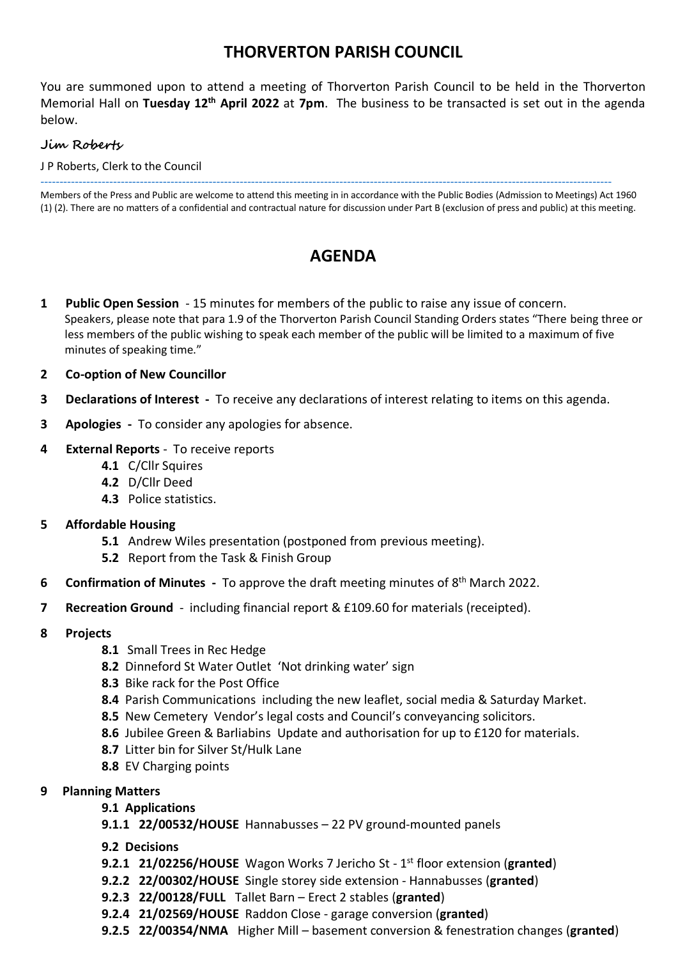## **THORVERTON PARISH COUNCIL**

You are summoned upon to attend a meeting of Thorverton Parish Council to be held in the Thorverton Memorial Hall on **Tuesday 12th April 2022** at **7pm**. The business to be transacted is set out in the agenda below.

#### **Jim Roberts**

J P Roberts, Clerk to the Council

----------------------------------------------------------------------------------------------------------------------------------------------------- Members of the Press and Public are welcome to attend this meeting in in accordance with the Public Bodies (Admission to Meetings) Act 1960 (1) (2). There are no matters of a confidential and contractual nature for discussion under Part B (exclusion of press and public) at this meeting.

## **AGENDA**

- **1 Public Open Session** 15 minutes for members of the public to raise any issue of concern. Speakers, please note that para 1.9 of the Thorverton Parish Council Standing Orders states "There being three or less members of the public wishing to speak each member of the public will be limited to a maximum of five minutes of speaking time."
- **2 Co-option of New Councillor**
- **3 Declarations of Interest** To receive any declarations of interest relating to items on this agenda.
- **3 Apologies** To consider any apologies for absence.

#### **4 External Reports** - To receive reports

- **4.1** C/Cllr Squires
- **4.2** D/Cllr Deed
- **4.3** Police statistics.
- **5 Affordable Housing** 
	- **5.1** Andrew Wiles presentation (postponed from previous meeting).
	- **5.2** Report from the Task & Finish Group
- **6** Confirmation of Minutes To approve the draft meeting minutes of 8<sup>th</sup> March 2022.
- **7 Recreation Ground**  including financial report & £109.60 for materials (receipted).
- **8 Projects**
	- **8.1** Small Trees in Rec Hedge
	- **8.2** Dinneford St Water Outlet 'Not drinking water' sign
	- **8.3** Bike rack for the Post Office
	- **8.4** Parish Communications including the new leaflet, social media & Saturday Market.
	- **8.5** New Cemetery Vendor's legal costs and Council's conveyancing solicitors.
	- **8.6** Jubilee Green & Barliabins Update and authorisation for up to £120 for materials.
	- **8.7** Litter bin for Silver St/Hulk Lane
	- **8.8** EV Charging points
- **9 Planning Matters**
	- **9.1 Applications**
	- **9.1.1 22/00532/HOUSE** Hannabusses 22 PV ground-mounted panels
	- **9.2 Decisions**
	- **9.2.1 21/02256/HOUSE** Wagon Works 7 Jericho St 1 st floor extension (**granted**)
	- **9.2.2 22/00302/HOUSE** Single storey side extension Hannabusses (**granted**)
	- **9.2.3 22/00128/FULL** Tallet Barn Erect 2 stables (**granted**)
	- **9.2.4 21/02569/HOUSE** Raddon Close garage conversion (**granted**)
	- **9.2.5 22/00354/NMA** Higher Mill basement conversion & fenestration changes (**granted**)